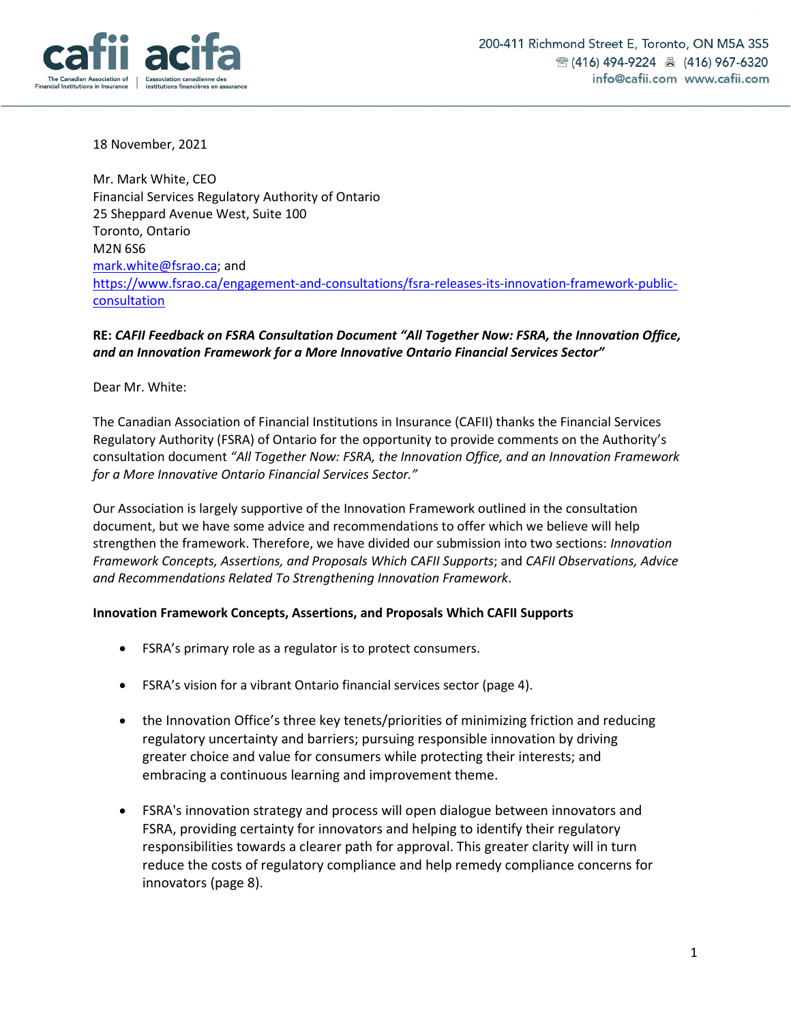

18 November, 2021

Mr. Mark White, CEO Financial Services Regulatory Authority of Ontario 25 Sheppard Avenue West, Suite 100 Toronto, Ontario M2N 6S6 mark.white@fsrao.ca; and https://www.fsrao.ca/engagement-and-consultations/fsra-releases-its-innovation-framework-publicconsultation

## **RE:** *CAFII Feedback on FSRA Consultation Document "All Together Now: FSRA, the Innovation Office, and an Innovation Framework for a More Innovative Ontario Financial Services Sector"*

Dear Mr. White:

The Canadian Association of Financial Institutions in Insurance (CAFII) thanks the Financial Services Regulatory Authority (FSRA) of Ontario for the opportunity to provide comments on the Authority's consultation document *"All Together Now: FSRA, the Innovation Office, and an Innovation Framework for a More Innovative Ontario Financial Services Sector."*

Our Association is largely supportive of the Innovation Framework outlined in the consultation document, but we have some advice and recommendations to offer which we believe will help strengthen the framework. Therefore, we have divided our submission into two sections: *Innovation Framework Concepts, Assertions, and Proposals Which CAFII Supports*; and *CAFII Observations, Advice and Recommendations Related To Strengthening Innovation Framework*.

#### **Innovation Framework Concepts, Assertions, and Proposals Which CAFII Supports**

- FSRA's primary role as a regulator is to protect consumers.
- FSRA's vision for a vibrant Ontario financial services sector (page 4).
- the Innovation Office's three key tenets/priorities of minimizing friction and reducing regulatory uncertainty and barriers; pursuing responsible innovation by driving greater choice and value for consumers while protecting their interests; and embracing a continuous learning and improvement theme.
- FSRA's innovation strategy and process will open dialogue between innovators and FSRA, providing certainty for innovators and helping to identify their regulatory responsibilities towards a clearer path for approval. This greater clarity will in turn reduce the costs of regulatory compliance and help remedy compliance concerns for innovators (page 8).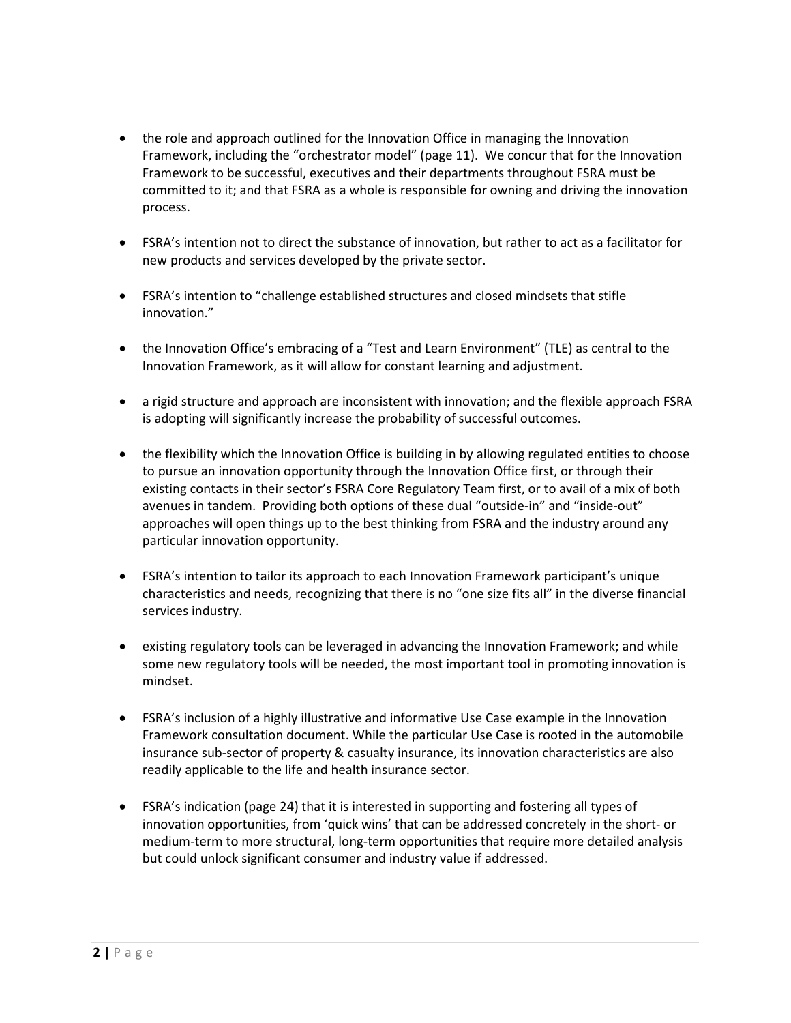- the role and approach outlined for the Innovation Office in managing the Innovation Framework, including the "orchestrator model" (page 11). We concur that for the Innovation Framework to be successful, executives and their departments throughout FSRA must be committed to it; and that FSRA as a whole is responsible for owning and driving the innovation process.
- FSRA's intention not to direct the substance of innovation, but rather to act as a facilitator for new products and services developed by the private sector.
- FSRA's intention to "challenge established structures and closed mindsets that stifle innovation."
- the Innovation Office's embracing of a "Test and Learn Environment" (TLE) as central to the Innovation Framework, as it will allow for constant learning and adjustment.
- a rigid structure and approach are inconsistent with innovation; and the flexible approach FSRA is adopting will significantly increase the probability of successful outcomes.
- the flexibility which the Innovation Office is building in by allowing regulated entities to choose to pursue an innovation opportunity through the Innovation Office first, or through their existing contacts in their sector's FSRA Core Regulatory Team first, or to avail of a mix of both avenues in tandem. Providing both options of these dual "outside-in" and "inside-out" approaches will open things up to the best thinking from FSRA and the industry around any particular innovation opportunity.
- FSRA's intention to tailor its approach to each Innovation Framework participant's unique characteristics and needs, recognizing that there is no "one size fits all" in the diverse financial services industry.
- existing regulatory tools can be leveraged in advancing the Innovation Framework; and while some new regulatory tools will be needed, the most important tool in promoting innovation is mindset.
- FSRA's inclusion of a highly illustrative and informative Use Case example in the Innovation Framework consultation document. While the particular Use Case is rooted in the automobile insurance sub-sector of property & casualty insurance, its innovation characteristics are also readily applicable to the life and health insurance sector.
- FSRA's indication (page 24) that it is interested in supporting and fostering all types of innovation opportunities, from 'quick wins' that can be addressed concretely in the short- or medium-term to more structural, long-term opportunities that require more detailed analysis but could unlock significant consumer and industry value if addressed.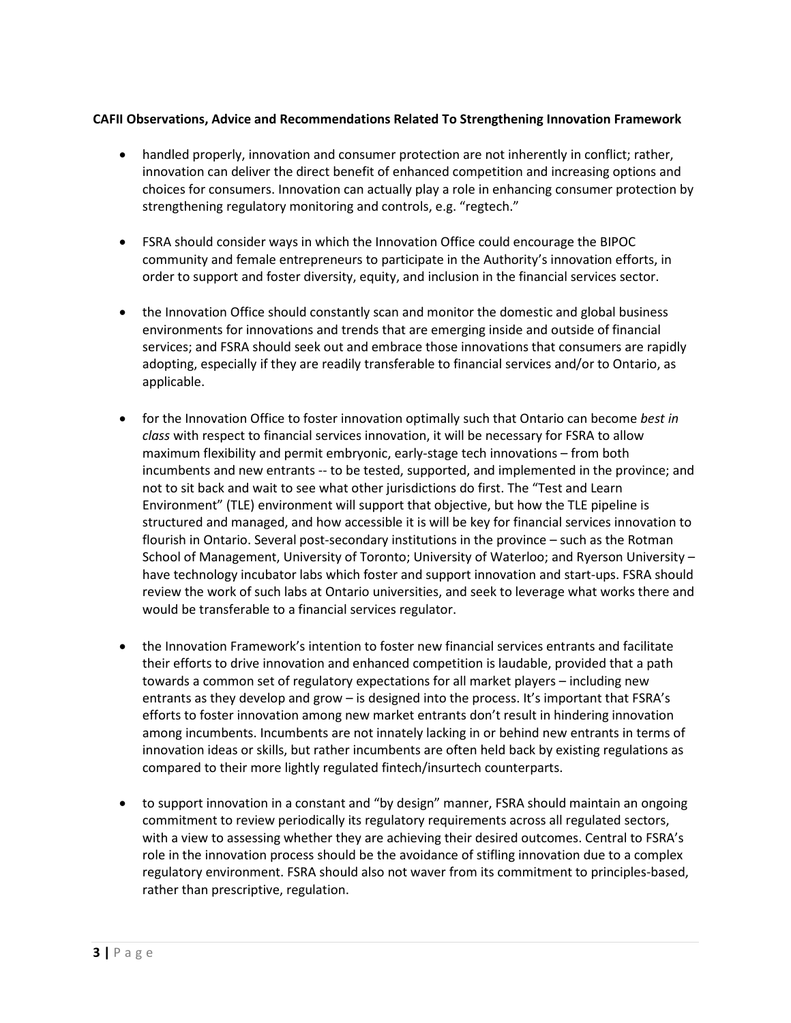## **CAFII Observations, Advice and Recommendations Related To Strengthening Innovation Framework**

- handled properly, innovation and consumer protection are not inherently in conflict; rather, innovation can deliver the direct benefit of enhanced competition and increasing options and choices for consumers. Innovation can actually play a role in enhancing consumer protection by strengthening regulatory monitoring and controls, e.g. "regtech."
- FSRA should consider ways in which the Innovation Office could encourage the BIPOC community and female entrepreneurs to participate in the Authority's innovation efforts, in order to support and foster diversity, equity, and inclusion in the financial services sector.
- the Innovation Office should constantly scan and monitor the domestic and global business environments for innovations and trends that are emerging inside and outside of financial services; and FSRA should seek out and embrace those innovations that consumers are rapidly adopting, especially if they are readily transferable to financial services and/or to Ontario, as applicable.
- for the Innovation Office to foster innovation optimally such that Ontario can become *best in class* with respect to financial services innovation, it will be necessary for FSRA to allow maximum flexibility and permit embryonic, early-stage tech innovations – from both incumbents and new entrants -- to be tested, supported, and implemented in the province; and not to sit back and wait to see what other jurisdictions do first. The "Test and Learn Environment" (TLE) environment will support that objective, but how the TLE pipeline is structured and managed, and how accessible it is will be key for financial services innovation to flourish in Ontario. Several post-secondary institutions in the province – such as the Rotman School of Management, University of Toronto; University of Waterloo; and Ryerson University – have technology incubator labs which foster and support innovation and start-ups. FSRA should review the work of such labs at Ontario universities, and seek to leverage what works there and would be transferable to a financial services regulator.
- the Innovation Framework's intention to foster new financial services entrants and facilitate their efforts to drive innovation and enhanced competition is laudable, provided that a path towards a common set of regulatory expectations for all market players – including new entrants as they develop and grow – is designed into the process. It's important that FSRA's efforts to foster innovation among new market entrants don't result in hindering innovation among incumbents. Incumbents are not innately lacking in or behind new entrants in terms of innovation ideas or skills, but rather incumbents are often held back by existing regulations as compared to their more lightly regulated fintech/insurtech counterparts.
- to support innovation in a constant and "by design" manner, FSRA should maintain an ongoing commitment to review periodically its regulatory requirements across all regulated sectors, with a view to assessing whether they are achieving their desired outcomes. Central to FSRA's role in the innovation process should be the avoidance of stifling innovation due to a complex regulatory environment. FSRA should also not waver from its commitment to principles-based, rather than prescriptive, regulation.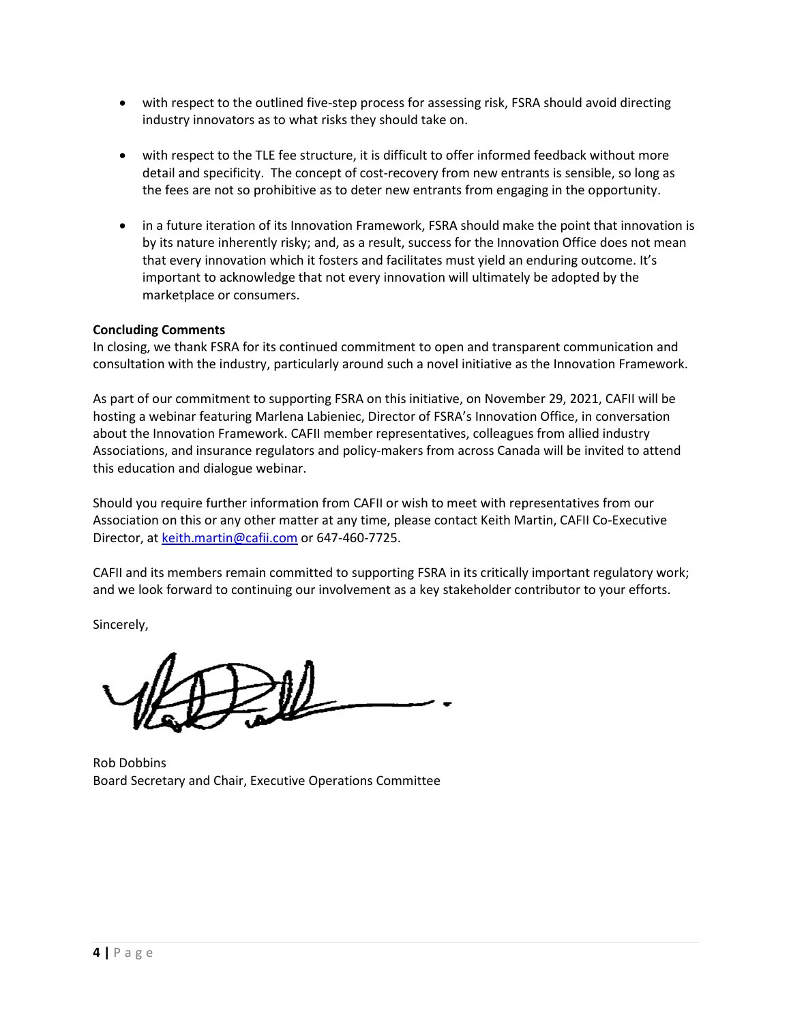- with respect to the outlined five-step process for assessing risk, FSRA should avoid directing industry innovators as to what risks they should take on.
- with respect to the TLE fee structure, it is difficult to offer informed feedback without more detail and specificity. The concept of cost-recovery from new entrants is sensible, so long as the fees are not so prohibitive as to deter new entrants from engaging in the opportunity.
- in a future iteration of its Innovation Framework, FSRA should make the point that innovation is by its nature inherently risky; and, as a result, success for the Innovation Office does not mean that every innovation which it fosters and facilitates must yield an enduring outcome. It's important to acknowledge that not every innovation will ultimately be adopted by the marketplace or consumers.

# **Concluding Comments**

In closing, we thank FSRA for its continued commitment to open and transparent communication and consultation with the industry, particularly around such a novel initiative as the Innovation Framework.

As part of our commitment to supporting FSRA on this initiative, on November 29, 2021, CAFII will be hosting a webinar featuring Marlena Labieniec, Director of FSRA's Innovation Office, in conversation about the Innovation Framework. CAFII member representatives, colleagues from allied industry Associations, and insurance regulators and policy-makers from across Canada will be invited to attend this education and dialogue webinar.

Should you require further information from CAFII or wish to meet with representatives from our Association on this or any other matter at any time, please contact Keith Martin, CAFII Co-Executive Director, at keith.martin@cafii.com or 647-460-7725.

CAFII and its members remain committed to supporting FSRA in its critically important regulatory work; and we look forward to continuing our involvement as a key stakeholder contributor to your efforts.

Sincerely,

Rob Dobbins Board Secretary and Chair, Executive Operations Committee